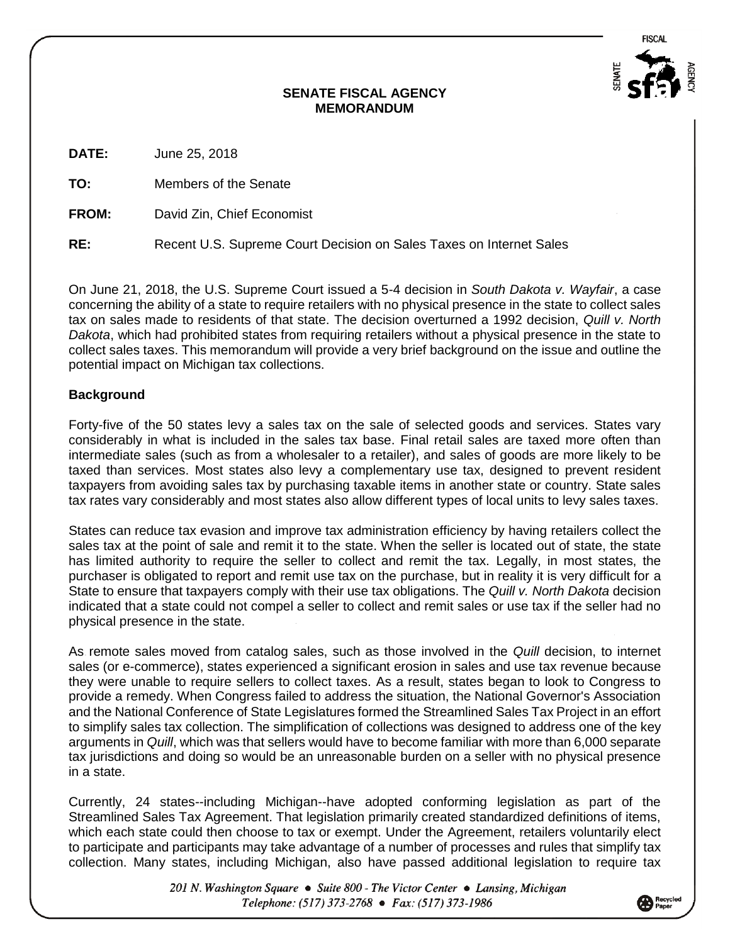FISCAL



## **SENATE FISCAL AGENCY MEMORANDUM**

**DATE:** June 25, 2018

**TO:** Members of the Senate

**FROM:** David Zin, Chief Economist

**RE:** Recent U.S. Supreme Court Decision on Sales Taxes on Internet Sales

On June 21, 2018, the U.S. Supreme Court issued a 5-4 decision in *South Dakota v. Wayfair*, a case concerning the ability of a state to require retailers with no physical presence in the state to collect sales tax on sales made to residents of that state. The decision overturned a 1992 decision, *Quill v. North Dakota*, which had prohibited states from requiring retailers without a physical presence in the state to collect sales taxes. This memorandum will provide a very brief background on the issue and outline the potential impact on Michigan tax collections.

## **Background**

Forty-five of the 50 states levy a sales tax on the sale of selected goods and services. States vary considerably in what is included in the sales tax base. Final retail sales are taxed more often than intermediate sales (such as from a wholesaler to a retailer), and sales of goods are more likely to be taxed than services. Most states also levy a complementary use tax, designed to prevent resident taxpayers from avoiding sales tax by purchasing taxable items in another state or country. State sales tax rates vary considerably and most states also allow different types of local units to levy sales taxes.

States can reduce tax evasion and improve tax administration efficiency by having retailers collect the sales tax at the point of sale and remit it to the state. When the seller is located out of state, the state has limited authority to require the seller to collect and remit the tax. Legally, in most states, the purchaser is obligated to report and remit use tax on the purchase, but in reality it is very difficult for a State to ensure that taxpayers comply with their use tax obligations. The *Quill v. North Dakota* decision indicated that a state could not compel a seller to collect and remit sales or use tax if the seller had no physical presence in the state.

As remote sales moved from catalog sales, such as those involved in the *Quill* decision, to internet sales (or e-commerce), states experienced a significant erosion in sales and use tax revenue because they were unable to require sellers to collect taxes. As a result, states began to look to Congress to provide a remedy. When Congress failed to address the situation, the National Governor's Association and the National Conference of State Legislatures formed the Streamlined Sales Tax Project in an effort to simplify sales tax collection. The simplification of collections was designed to address one of the key arguments in *Quill*, which was that sellers would have to become familiar with more than 6,000 separate tax jurisdictions and doing so would be an unreasonable burden on a seller with no physical presence in a state.

Currently, 24 states--including Michigan--have adopted conforming legislation as part of the Streamlined Sales Tax Agreement. That legislation primarily created standardized definitions of items, which each state could then choose to tax or exempt. Under the Agreement, retailers voluntarily elect to participate and participants may take advantage of a number of processes and rules that simplify tax collection. Many states, including Michigan, also have passed additional legislation to require tax

> 201 N. Washington Square • Suite 800 - The Victor Center • Lansing, Michigan Telephone: (517) 373-2768 • Fax: (517) 373-1986